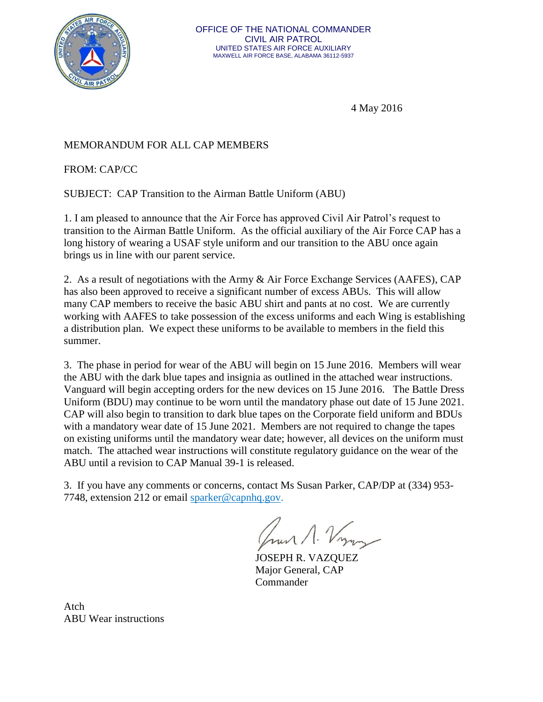

4 May 2016

## MEMORANDUM FOR ALL CAP MEMBERS

FROM: CAP/CC

SUBJECT: CAP Transition to the Airman Battle Uniform (ABU)

1. I am pleased to announce that the Air Force has approved Civil Air Patrol's request to transition to the Airman Battle Uniform. As the official auxiliary of the Air Force CAP has a long history of wearing a USAF style uniform and our transition to the ABU once again brings us in line with our parent service.

2. As a result of negotiations with the Army & Air Force Exchange Services (AAFES), CAP has also been approved to receive a significant number of excess ABUs. This will allow many CAP members to receive the basic ABU shirt and pants at no cost. We are currently working with AAFES to take possession of the excess uniforms and each Wing is establishing a distribution plan. We expect these uniforms to be available to members in the field this summer.

3. The phase in period for wear of the ABU will begin on 15 June 2016. Members will wear the ABU with the dark blue tapes and insignia as outlined in the attached wear instructions. Vanguard will begin accepting orders for the new devices on 15 June 2016. The Battle Dress Uniform (BDU) may continue to be worn until the mandatory phase out date of 15 June 2021. CAP will also begin to transition to dark blue tapes on the Corporate field uniform and BDUs with a mandatory wear date of 15 June 2021. Members are not required to change the tapes on existing uniforms until the mandatory wear date; however, all devices on the uniform must match. The attached wear instructions will constitute regulatory guidance on the wear of the ABU until a revision to CAP Manual 39-1 is released.

3. If you have any comments or concerns, contact Ms Susan Parker, CAP/DP at (334) 953- 7748, extension 212 or email [sparker@capnhq.gov.](mailto:sparker@capnhq.gov)

JOSEPH R. VAZQUEZ Major General, CAP Commander

Atch ABU Wear instructions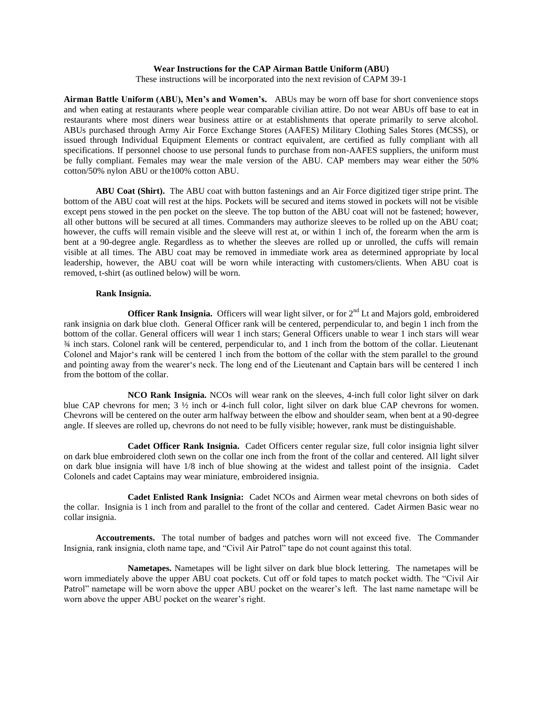### **Wear Instructions for the CAP Airman Battle Uniform (ABU)**

These instructions will be incorporated into the next revision of CAPM 39-1

**Airman Battle Uniform (ABU), Men's and Women's.** ABUs may be worn off base for short convenience stops and when eating at restaurants where people wear comparable civilian attire. Do not wear ABUs off base to eat in restaurants where most diners wear business attire or at establishments that operate primarily to serve alcohol. ABUs purchased through Army Air Force Exchange Stores (AAFES) Military Clothing Sales Stores (MCSS), or issued through Individual Equipment Elements or contract equivalent, are certified as fully compliant with all specifications. If personnel choose to use personal funds to purchase from non-AAFES suppliers, the uniform must be fully compliant. Females may wear the male version of the ABU. CAP members may wear either the 50% cotton/50% nylon ABU or the100% cotton ABU.

**ABU Coat (Shirt).** The ABU coat with button fastenings and an Air Force digitized tiger stripe print. The bottom of the ABU coat will rest at the hips. Pockets will be secured and items stowed in pockets will not be visible except pens stowed in the pen pocket on the sleeve. The top button of the ABU coat will not be fastened; however, all other buttons will be secured at all times. Commanders may authorize sleeves to be rolled up on the ABU coat; however, the cuffs will remain visible and the sleeve will rest at, or within 1 inch of, the forearm when the arm is bent at a 90-degree angle. Regardless as to whether the sleeves are rolled up or unrolled, the cuffs will remain visible at all times. The ABU coat may be removed in immediate work area as determined appropriate by local leadership, however, the ABU coat will be worn while interacting with customers/clients. When ABU coat is removed, t-shirt (as outlined below) will be worn.

#### **Rank Insignia.**

**Officer Rank Insignia.** Officers will wear light silver, or for 2<sup>nd</sup> Lt and Majors gold, embroidered rank insignia on dark blue cloth. General Officer rank will be centered, perpendicular to, and begin 1 inch from the bottom of the collar. General officers will wear 1 inch stars; General Officers unable to wear 1 inch stars will wear ¾ inch stars. Colonel rank will be centered, perpendicular to, and 1 inch from the bottom of the collar. Lieutenant Colonel and Major's rank will be centered 1 inch from the bottom of the collar with the stem parallel to the ground and pointing away from the wearer's neck. The long end of the Lieutenant and Captain bars will be centered 1 inch from the bottom of the collar.

**NCO Rank Insignia.** NCOs will wear rank on the sleeves, 4-inch full color light silver on dark blue CAP chevrons for men; 3 ½ inch or 4-inch full color, light silver on dark blue CAP chevrons for women. Chevrons will be centered on the outer arm halfway between the elbow and shoulder seam, when bent at a 90-degree angle. If sleeves are rolled up, chevrons do not need to be fully visible; however, rank must be distinguishable.

**Cadet Officer Rank Insignia.** Cadet Officers center regular size, full color insignia light silver on dark blue embroidered cloth sewn on the collar one inch from the front of the collar and centered. All light silver on dark blue insignia will have 1/8 inch of blue showing at the widest and tallest point of the insignia. Cadet Colonels and cadet Captains may wear miniature, embroidered insignia.

**Cadet Enlisted Rank Insignia:** Cadet NCOs and Airmen wear metal chevrons on both sides of the collar. Insignia is 1 inch from and parallel to the front of the collar and centered. Cadet Airmen Basic wear no collar insignia.

**Accoutrements.** The total number of badges and patches worn will not exceed five. The Commander Insignia, rank insignia, cloth name tape, and "Civil Air Patrol" tape do not count against this total.

**Nametapes.** Nametapes will be light silver on dark blue block lettering. The nametapes will be worn immediately above the upper ABU coat pockets. Cut off or fold tapes to match pocket width. The "Civil Air Patrol" nametape will be worn above the upper ABU pocket on the wearer's left. The last name nametape will be worn above the upper ABU pocket on the wearer's right.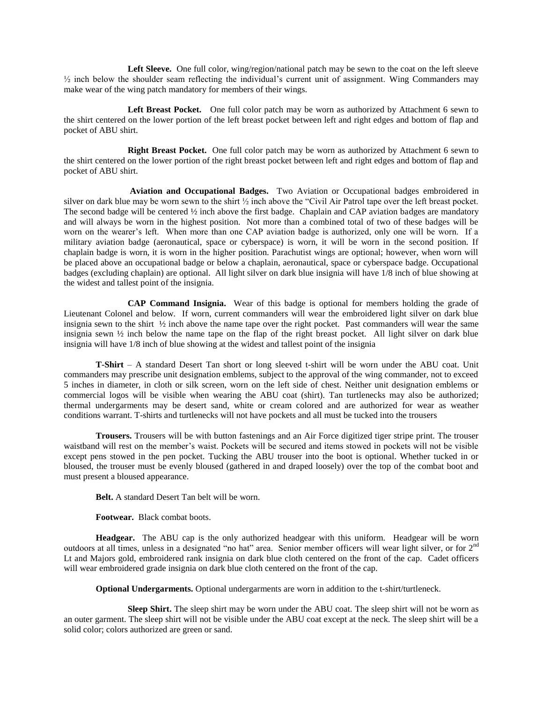Left Sleeve. One full color, wing/region/national patch may be sewn to the coat on the left sleeve  $\frac{1}{2}$  inch below the shoulder seam reflecting the individual's current unit of assignment. Wing Commanders may make wear of the wing patch mandatory for members of their wings.

Left Breast Pocket. One full color patch may be worn as authorized by Attachment 6 sewn to the shirt centered on the lower portion of the left breast pocket between left and right edges and bottom of flap and pocket of ABU shirt.

**Right Breast Pocket.** One full color patch may be worn as authorized by Attachment 6 sewn to the shirt centered on the lower portion of the right breast pocket between left and right edges and bottom of flap and pocket of ABU shirt.

**Aviation and Occupational Badges.** Two Aviation or Occupational badges embroidered in silver on dark blue may be worn sewn to the shirt  $\frac{1}{2}$  inch above the "Civil Air Patrol tape over the left breast pocket. The second badge will be centered  $\frac{1}{2}$  inch above the first badge. Chaplain and CAP aviation badges are mandatory and will always be worn in the highest position. Not more than a combined total of two of these badges will be worn on the wearer's left. When more than one CAP aviation badge is authorized, only one will be worn. If a military aviation badge (aeronautical, space or cyberspace) is worn, it will be worn in the second position. If chaplain badge is worn, it is worn in the higher position. Parachutist wings are optional; however, when worn will be placed above an occupational badge or below a chaplain, aeronautical, space or cyberspace badge. Occupational badges (excluding chaplain) are optional. All light silver on dark blue insignia will have 1/8 inch of blue showing at the widest and tallest point of the insignia.

**CAP Command Insignia.** Wear of this badge is optional for members holding the grade of Lieutenant Colonel and below. If worn, current commanders will wear the embroidered light silver on dark blue insignia sewn to the shirt ½ inch above the name tape over the right pocket. Past commanders will wear the same insignia sewn ½ inch below the name tape on the flap of the right breast pocket. All light silver on dark blue insignia will have 1/8 inch of blue showing at the widest and tallest point of the insignia

**T-Shirt** – A standard Desert Tan short or long sleeved t-shirt will be worn under the ABU coat. Unit commanders may prescribe unit designation emblems, subject to the approval of the wing commander, not to exceed 5 inches in diameter, in cloth or silk screen, worn on the left side of chest. Neither unit designation emblems or commercial logos will be visible when wearing the ABU coat (shirt). Tan turtlenecks may also be authorized; thermal undergarments may be desert sand, white or cream colored and are authorized for wear as weather conditions warrant. T-shirts and turtlenecks will not have pockets and all must be tucked into the trousers

**Trousers.** Trousers will be with button fastenings and an Air Force digitized tiger stripe print. The trouser waistband will rest on the member's waist. Pockets will be secured and items stowed in pockets will not be visible except pens stowed in the pen pocket. Tucking the ABU trouser into the boot is optional. Whether tucked in or bloused, the trouser must be evenly bloused (gathered in and draped loosely) over the top of the combat boot and must present a bloused appearance.

**Belt.** A standard Desert Tan belt will be worn.

**Footwear.** Black combat boots.

**Headgear.** The ABU cap is the only authorized headgear with this uniform. Headgear will be worn outdoors at all times, unless in a designated "no hat" area. Senior member officers will wear light silver, or for 2<sup>nd</sup> Lt and Majors gold, embroidered rank insignia on dark blue cloth centered on the front of the cap. Cadet officers will wear embroidered grade insignia on dark blue cloth centered on the front of the cap.

**Optional Undergarments.** Optional undergarments are worn in addition to the t-shirt/turtleneck.

**Sleep Shirt.** The sleep shirt may be worn under the ABU coat. The sleep shirt will not be worn as an outer garment. The sleep shirt will not be visible under the ABU coat except at the neck. The sleep shirt will be a solid color; colors authorized are green or sand.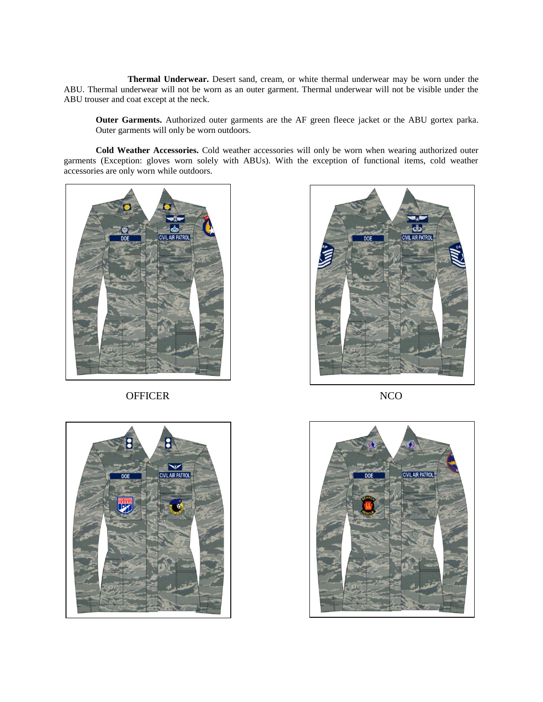**Thermal Underwear.** Desert sand, cream, or white thermal underwear may be worn under the ABU. Thermal underwear will not be worn as an outer garment. Thermal underwear will not be visible under the ABU trouser and coat except at the neck.

**Outer Garments.** Authorized outer garments are the AF green fleece jacket or the ABU gortex parka. Outer garments will only be worn outdoors.

**Cold Weather Accessories.** Cold weather accessories will only be worn when wearing authorized outer garments (Exception: gloves worn solely with ABUs). With the exception of functional items, cold weather accessories are only worn while outdoors.



OFFICER NCO